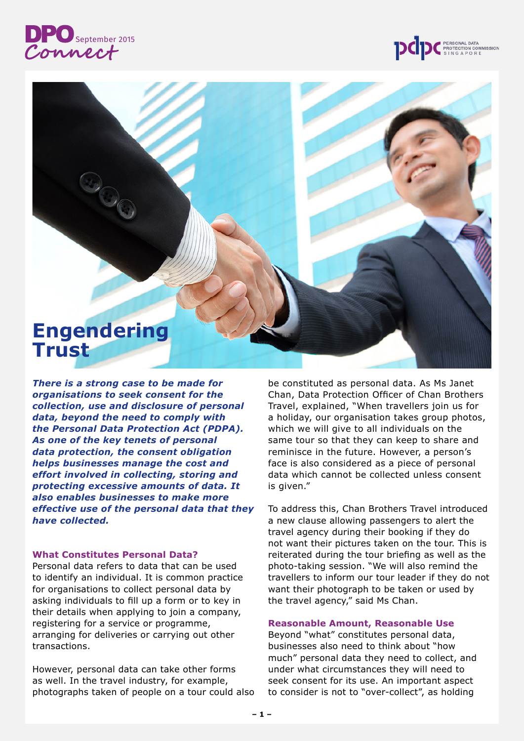# **DPO** September 2015





*There is a strong case to be made for organisations to seek consent for the collection, use and disclosure of personal data, beyond the need to comply with the Personal Data Protection Act (PDPA). As one of the key tenets of personal data protection, the consent obligation helps businesses manage the cost and effort involved in collecting, storing and protecting excessive amounts of data. It also enables businesses to make more effective use of the personal data that they have collected.*

## **What Constitutes Personal Data?**

Personal data refers to data that can be used to identify an individual. It is common practice for organisations to collect personal data by asking individuals to fill up a form or to key in their details when applying to join a company, registering for a service or programme, arranging for deliveries or carrying out other transactions.

However, personal data can take other forms as well. In the travel industry, for example, photographs taken of people on a tour could also be constituted as personal data. As Ms Janet Chan, Data Protection Officer of Chan Brothers Travel, explained, "When travellers join us for a holiday, our organisation takes group photos, which we will give to all individuals on the same tour so that they can keep to share and reminisce in the future. However, a person's face is also considered as a piece of personal data which cannot be collected unless consent is given."

To address this, Chan Brothers Travel introduced a new clause allowing passengers to alert the travel agency during their booking if they do not want their pictures taken on the tour. This is reiterated during the tour briefing as well as the photo-taking session. "We will also remind the travellers to inform our tour leader if they do not want their photograph to be taken or used by the travel agency," said Ms Chan.

#### **Reasonable Amount, Reasonable Use**

Beyond "what" constitutes personal data, businesses also need to think about "how much" personal data they need to collect, and under what circumstances they will need to seek consent for its use. An important aspect to consider is not to "over-collect", as holding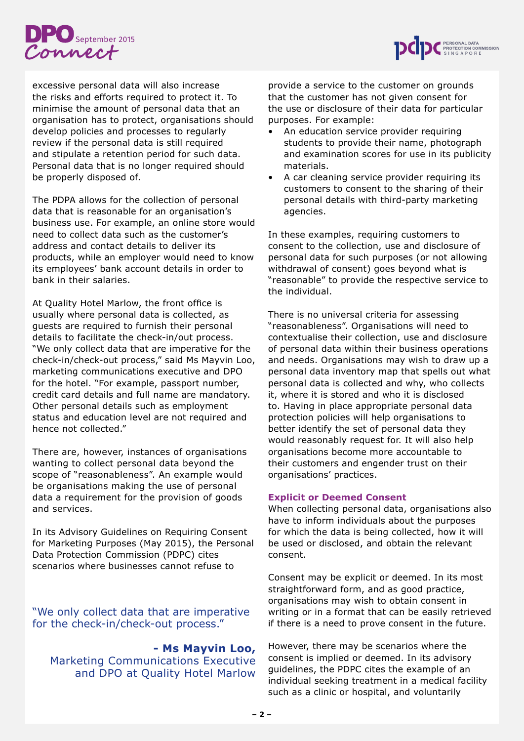



excessive personal data will also increase the risks and efforts required to protect it. To minimise the amount of personal data that an organisation has to protect, organisations should develop policies and processes to regularly review if the personal data is still required and stipulate a retention period for such data. Personal data that is no longer required should be properly disposed of.

The PDPA allows for the collection of personal data that is reasonable for an organisation's business use. For example, an online store would need to collect data such as the customer's address and contact details to deliver its products, while an employer would need to know its employees' bank account details in order to bank in their salaries.

At Quality Hotel Marlow, the front office is usually where personal data is collected, as guests are required to furnish their personal details to facilitate the check-in/out process. "We only collect data that are imperative for the check-in/check-out process," said Ms Mayvin Loo, marketing communications executive and DPO for the hotel. "For example, passport number, credit card details and full name are mandatory. Other personal details such as employment status and education level are not required and hence not collected."

There are, however, instances of organisations wanting to collect personal data beyond the scope of "reasonableness". An example would be organisations making the use of personal data a requirement for the provision of goods and services.

In its Advisory Guidelines on Requiring Consent for Marketing Purposes (May 2015), the Personal Data Protection Commission (PDPC) cites scenarios where businesses cannot refuse to

"We only collect data that are imperative for the check-in/check-out process."

**- Ms Mayvin Loo,**

Marketing Communications Executive and DPO at Quality Hotel Marlow

provide a service to the customer on grounds that the customer has not given consent for the use or disclosure of their data for particular purposes. For example:

- An education service provider requiring students to provide their name, photograph and examination scores for use in its publicity materials.
- A car cleaning service provider requiring its customers to consent to the sharing of their personal details with third-party marketing agencies.

In these examples, requiring customers to consent to the collection, use and disclosure of personal data for such purposes (or not allowing withdrawal of consent) goes beyond what is "reasonable" to provide the respective service to the individual.

There is no universal criteria for assessing "reasonableness". Organisations will need to contextualise their collection, use and disclosure of personal data within their business operations and needs. Organisations may wish to draw up a personal data inventory map that spells out what personal data is collected and why, who collects it, where it is stored and who it is disclosed to. Having in place appropriate personal data protection policies will help organisations to better identify the set of personal data they would reasonably request for. It will also help organisations become more accountable to their customers and engender trust on their organisations' practices.

# **Explicit or Deemed Consent**

When collecting personal data, organisations also have to inform individuals about the purposes for which the data is being collected, how it will be used or disclosed, and obtain the relevant consent.

Consent may be explicit or deemed. In its most straightforward form, and as good practice, organisations may wish to obtain consent in writing or in a format that can be easily retrieved if there is a need to prove consent in the future.

However, there may be scenarios where the consent is implied or deemed. In its advisory guidelines, the PDPC cites the example of an individual seeking treatment in a medical facility such as a clinic or hospital, and voluntarily